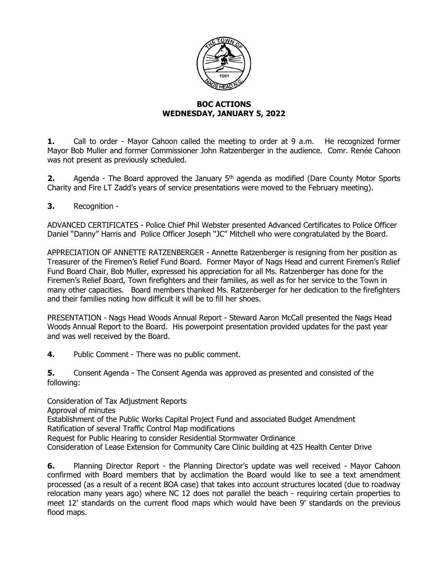

## **BOC ACTIONS WEDNESDAY, JANUARY 5, 2022**

**1.** Call to order - Mayor Cahoon called the meeting to order at 9 a.m. He recognized former Mayor Bob Muller and former Commissioner John Ratzenberger in the audience. Comr. Renée Cahoon was not present as previously scheduled.

**2.** Agenda - The Board approved the January 5<sup>th</sup> agenda as modified (Dare County Motor Sports Charity and Fire LT Zadd's years of service presentations were moved to the February meeting).

**3.** Recognition -

ADVANCED CERTIFICATES - Police Chief Phil Webster presented Advanced Certificates to Police Officer Daniel "Danny" Harris and Police Officer Joseph "JC" Mitchell who were congratulated by the Board.

APPRECIATION OF ANNETTE RATZENBERGER - Annette Ratzenberger is resigning from her position as Treasurer of the Firemen's Relief Fund Board. Former Mayor of Nags Head and current Firemen's Relief Fund Board Chair, Bob Muller, expressed his appreciation for all Ms. Ratzenberger has done for the Firemen's Relief Board, Town firefighters and their families, as well as for her service to the Town in many other capacities. Board members thanked Ms. Ratzenberger for her dedication to the firefighters and their families noting how difficult it will be to fill her shoes.

PRESENTATION - Nags Head Woods Annual Report - Steward Aaron McCall presented the Nags Head Woods Annual Report to the Board. His powerpoint presentation provided updates for the past year and was well received by the Board.

**4.** Public Comment - There was no public comment.

**5.** Consent Agenda - The Consent Agenda was approved as presented and consisted of the following:

Consideration of Tax Adjustment Reports Approval of minutes Establishment of the Public Works Capital Project Fund and associated Budget Amendment Ratification of several Traffic Control Map modifications Request for Public Hearing to consider Residential Stormwater Ordinance

Consideration of Lease Extension for Community Care Clinic building at 425 Health Center Drive

**6.** Planning Director Report - the Planning Director's update was well received - Mayor Cahoon confirmed with Board members that by acclimation the Board would like to see a text amendment processed (as a result of a recent BOA case) that takes into account structures located (due to roadway relocation many years ago) where NC 12 does not parallel the beach - requiring certain properties to meet 12' standards on the current flood maps which would have been 9' standards on the previous flood maps.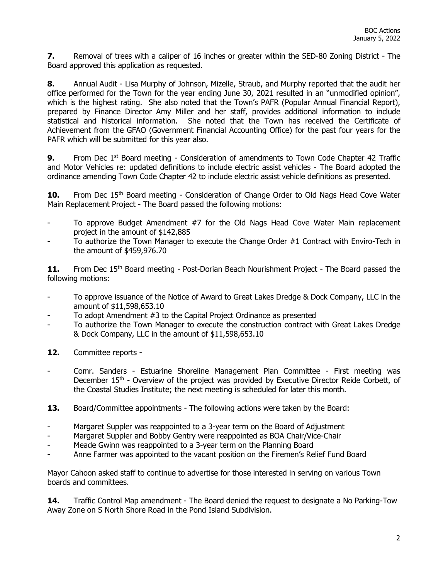**7.** Removal of trees with a caliper of 16 inches or greater within the SED-80 Zoning District - The Board approved this application as requested.

**8.** Annual Audit - Lisa Murphy of Johnson, Mizelle, Straub, and Murphy reported that the audit her office performed for the Town for the year ending June 30, 2021 resulted in an "unmodified opinion", which is the highest rating. She also noted that the Town's PAFR (Popular Annual Financial Report), prepared by Finance Director Amy Miller and her staff, provides additional information to include statistical and historical information. She noted that the Town has received the Certificate of Achievement from the GFAO (Government Financial Accounting Office) for the past four years for the PAFR which will be submitted for this year also.

**9.** From Dec 1<sup>st</sup> Board meeting - Consideration of amendments to Town Code Chapter 42 Traffic and Motor Vehicles re: updated definitions to include electric assist vehicles - The Board adopted the ordinance amending Town Code Chapter 42 to include electric assist vehicle definitions as presented.

**10.** From Dec 15<sup>th</sup> Board meeting - Consideration of Change Order to Old Nags Head Cove Water Main Replacement Project - The Board passed the following motions:

- To approve Budget Amendment  $#7$  for the Old Nags Head Cove Water Main replacement project in the amount of \$142,885
- To authorize the Town Manager to execute the Change Order #1 Contract with Enviro-Tech in the amount of \$459,976.70

11. From Dec 15<sup>th</sup> Board meeting - Post-Dorian Beach Nourishment Project - The Board passed the following motions:

- To approve issuance of the Notice of Award to Great Lakes Dredge & Dock Company, LLC in the amount of \$11,598,653.10
- To adopt Amendment #3 to the Capital Project Ordinance as presented
- To authorize the Town Manager to execute the construction contract with Great Lakes Dredge & Dock Company, LLC in the amount of \$11,598,653.10
- 12. Committee reports -
- Comr. Sanders Estuarine Shoreline Management Plan Committee First meeting was December 15<sup>th</sup> - Overview of the project was provided by Executive Director Reide Corbett, of the Coastal Studies Institute; the next meeting is scheduled for later this month.
- **13.** Board/Committee appointments The following actions were taken by the Board:
- Margaret Suppler was reappointed to a 3-year term on the Board of Adjustment
- Margaret Suppler and Bobby Gentry were reappointed as BOA Chair/Vice-Chair
- Meade Gwinn was reappointed to a 3-year term on the Planning Board
- Anne Farmer was appointed to the vacant position on the Firemen's Relief Fund Board

Mayor Cahoon asked staff to continue to advertise for those interested in serving on various Town boards and committees.

**14.** Traffic Control Map amendment - The Board denied the request to designate a No Parking-Tow Away Zone on S North Shore Road in the Pond Island Subdivision.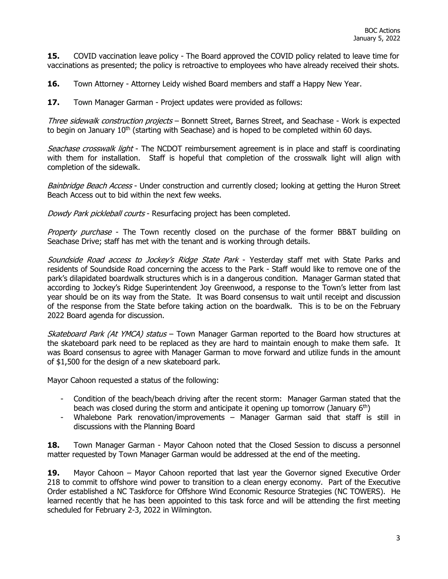**15.** COVID vaccination leave policy - The Board approved the COVID policy related to leave time for vaccinations as presented; the policy is retroactive to employees who have already received their shots.

**16.** Town Attorney - Attorney Leidy wished Board members and staff a Happy New Year.

**17.** Town Manager Garman - Project updates were provided as follows:

Three sidewalk construction projects - Bonnett Street, Barnes Street, and Seachase - Work is expected to begin on January  $10<sup>th</sup>$  (starting with Seachase) and is hoped to be completed within 60 days.

Seachase crosswalk light - The NCDOT reimbursement agreement is in place and staff is coordinating with them for installation. Staff is hopeful that completion of the crosswalk light will align with completion of the sidewalk.

Bainbridge Beach Access - Under construction and currently closed; looking at getting the Huron Street Beach Access out to bid within the next few weeks.

Dowdy Park pickleball courts - Resurfacing project has been completed.

*Property purchase* - The Town recently closed on the purchase of the former BB&T building on Seachase Drive; staff has met with the tenant and is working through details.

Soundside Road access to Jockey's Ridge State Park - Yesterday staff met with State Parks and residents of Soundside Road concerning the access to the Park - Staff would like to remove one of the park's dilapidated boardwalk structures which is in a dangerous condition. Manager Garman stated that according to Jockey's Ridge Superintendent Joy Greenwood, a response to the Town's letter from last year should be on its way from the State. It was Board consensus to wait until receipt and discussion of the response from the State before taking action on the boardwalk. This is to be on the February 2022 Board agenda for discussion.

Skateboard Park (At YMCA) status – Town Manager Garman reported to the Board how structures at the skateboard park need to be replaced as they are hard to maintain enough to make them safe. It was Board consensus to agree with Manager Garman to move forward and utilize funds in the amount of \$1,500 for the design of a new skateboard park.

Mayor Cahoon requested a status of the following:

- Condition of the beach/beach driving after the recent storm: Manager Garman stated that the beach was closed during the storm and anticipate it opening up tomorrow (January  $6<sup>th</sup>$ )
- Whalebone Park renovation/improvements Manager Garman said that staff is still in discussions with the Planning Board

**18.** Town Manager Garman - Mayor Cahoon noted that the Closed Session to discuss a personnel matter requested by Town Manager Garman would be addressed at the end of the meeting.

**19.** Mayor Cahoon – Mayor Cahoon reported that last year the Governor signed Executive Order 218 to commit to offshore wind power to transition to a clean energy economy. Part of the Executive Order established a NC Taskforce for Offshore Wind Economic Resource Strategies (NC TOWERS). He learned recently that he has been appointed to this task force and will be attending the first meeting scheduled for February 2-3, 2022 in Wilmington.